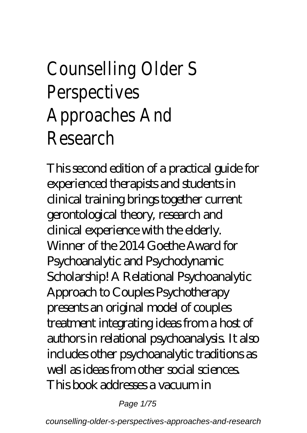## Counselling Older S Perspectives Approaches And Research

This second edition of a practical guide for experienced therapists and students in clinical training brings together current gerontological theory, research and clinical experience with the elderly. Winner of the 2014 Goethe Award for Psychoanalytic and Psychodynamic Scholarship! A Relational Psychoanalytic Approach to Couples Psychotherapy presents an original model of couples treatment integrating ideas from a host of authors in relational psychoanalysis. It also includes other psychoanalytic traditions as well as ideas from other social sciences. This book addresses a vacuum in

Page 1/75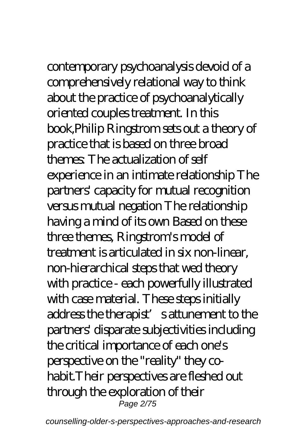## contemporary psychoanalysis devoid of a

comprehensively relational way to think about the practice of psychoanalytically oriented couples treatment. In this book,Philip Ringstrom sets out a theory of practice that is based on three broad themes: The actualization of self experience in an intimate relationship The partners' capacity for mutual recognition versus mutual negation The relationship having a mind of its own Based on these three themes, Ringstrom's model of treatment is articulated in six non-linear, non-hierarchical steps that wed theory with practice - each powerfully illustrated with case material. These steps initially address the therapist's attunement to the partners' disparate subjectivities including the critical importance of each one's perspective on the "reality" they cohabit.Their perspectives are fleshed out through the exploration of their Page 2/75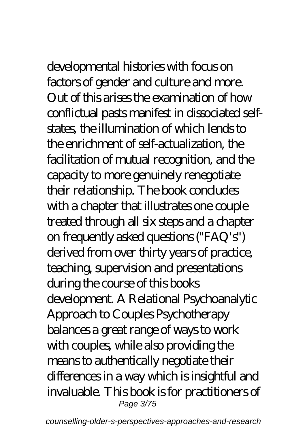developmental histories with focus on factors of gender and culture and more. Out of this arises the examination of how conflictual pasts manifest in dissociated selfstates, the illumination of which lends to the enrichment of self-actualization, the facilitation of mutual recognition, and the capacity to more genuinely renegotiate their relationship. The book concludes with a chapter that illustrates one couple treated through all six steps and a chapter on frequently asked questions ("FAQ's") derived from over thirty years of practice, teaching, supervision and presentations during the course of this books development. A Relational Psychoanalytic Approach to Couples Psychotherapy balances a great range of ways to work with couples, while also providing the means to authentically negotiate their differences in a way which is insightful and invaluable. This book is for practitioners of Page 3/75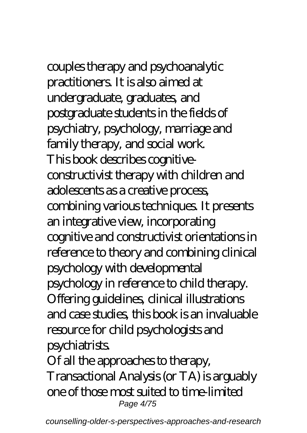# couples therapy and psychoanalytic

practitioners. It is also aimed at undergraduate, graduates, and postgraduate students in the fields of psychiatry, psychology, marriage and family therapy, and social work. This book describes cognitiveconstructivist therapy with children and adolescents as a creative process, combining various techniques. It presents an integrative view, incorporating cognitive and constructivist orientations in reference to theory and combining clinical psychology with developmental psychology in reference to child therapy. Offering guidelines, clinical illustrations and case studies, this book is an invaluable resource for child psychologists and psychiatrists. Of all the approaches to therapy,

Transactional Analysis (or TA) is arguably one of those most suited to time-limited Page 4/75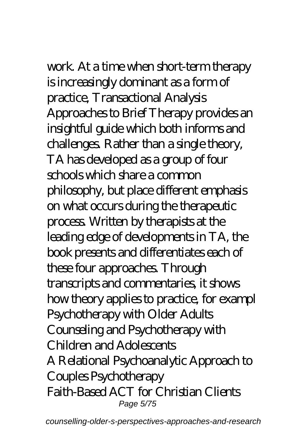## work. At a time when short-term therapy

is increasingly dominant as a form of practice, Transactional Analysis Approaches to Brief Therapy provides an insightful guide which both informs and challenges. Rather than a single theory, TA has developed as a group of four schools which share a common philosophy, but place different emphasis on what occurs during the therapeutic process. Written by therapists at the leading edge of developments in TA, the book presents and differentiates each of these four approaches. Through transcripts and commentaries, it shows how theory applies to practice, for exampl Psychotherapy with Older Adults Counseling and Psychotherapy with Children and Adolescents A Relational Psychoanalytic Approach to Couples Psychotherapy Faith-Based ACT for Christian Clients Page 5/75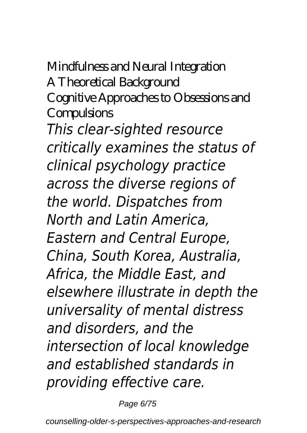### Mindfulness and Neural Integration A Theoretical Background Cognitive Approaches to Obsessions and **Compulsions** *This clear-sighted resource critically examines the status of clinical psychology practice across the diverse regions of the world. Dispatches from North and Latin America, Eastern and Central Europe, China, South Korea, Australia, Africa, the Middle East, and elsewhere illustrate in depth the universality of mental distress and disorders, and the intersection of local knowledge and established standards in providing effective care.*

Page 6/75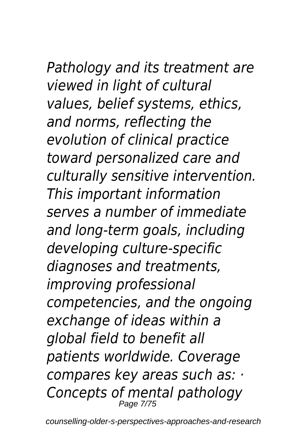### *Pathology and its treatment are viewed in light of cultural values, belief systems, ethics, and norms, reflecting the evolution of clinical practice toward personalized care and culturally sensitive intervention. This important information serves a number of immediate and long-term goals, including developing culture-specific diagnoses and treatments, improving professional competencies, and the ongoing exchange of ideas within a global field to benefit all patients worldwide. Coverage compares key areas such as: · Concepts of mental pathology* Page 7/75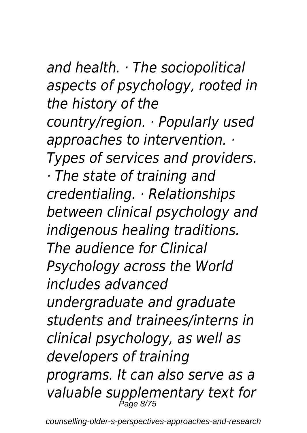*and health. · The sociopolitical aspects of psychology, rooted in the history of the country/region. · Popularly used approaches to intervention. · Types of services and providers. · The state of training and credentialing. · Relationships between clinical psychology and indigenous healing traditions. The audience for Clinical Psychology across the World includes advanced undergraduate and graduate students and trainees/interns in clinical psychology, as well as developers of training programs. It can also serve as a valuable supplementary text for* Page 8/75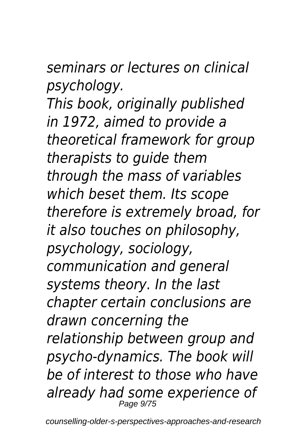*seminars or lectures on clinical psychology.*

*This book, originally published in 1972, aimed to provide a theoretical framework for group therapists to guide them through the mass of variables which beset them. Its scope therefore is extremely broad, for it also touches on philosophy, psychology, sociology, communication and general systems theory. In the last chapter certain conclusions are drawn concerning the relationship between group and psycho-dynamics. The book will be of interest to those who have already had some experience of* Page 9/75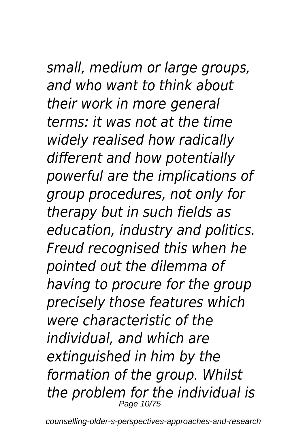## *small, medium or large groups,*

*and who want to think about their work in more general terms: it was not at the time widely realised how radically different and how potentially powerful are the implications of group procedures, not only for therapy but in such fields as education, industry and politics. Freud recognised this when he pointed out the dilemma of having to procure for the group precisely those features which were characteristic of the individual, and which are extinguished in him by the formation of the group. Whilst the problem for the individual is* Page 10/75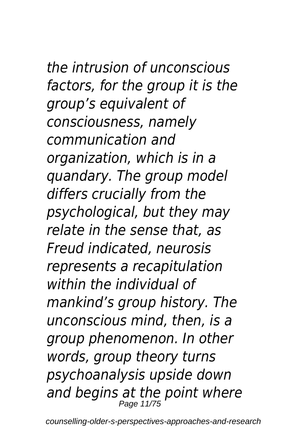### *the intrusion of unconscious factors, for the group it is the group's equivalent of consciousness, namely communication and organization, which is in a quandary. The group model differs crucially from the psychological, but they may relate in the sense that, as Freud indicated, neurosis represents a recapitulation within the individual of mankind's group history. The unconscious mind, then, is a group phenomenon. In other words, group theory turns psychoanalysis upside down and begins at the point where* Page 11/75

counselling-older-s-perspectives-approaches-and-research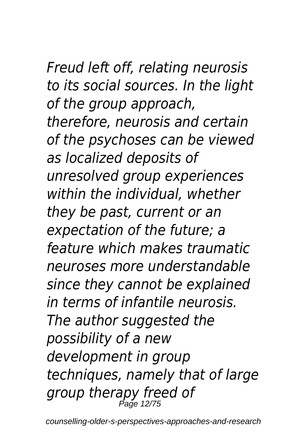*Freud left off, relating neurosis to its social sources. In the light of the group approach, therefore, neurosis and certain of the psychoses can be viewed as localized deposits of unresolved group experiences within the individual, whether they be past, current or an expectation of the future; a feature which makes traumatic neuroses more understandable since they cannot be explained in terms of infantile neurosis. The author suggested the possibility of a new development in group techniques, namely that of large group therapy freed of* Page 12/75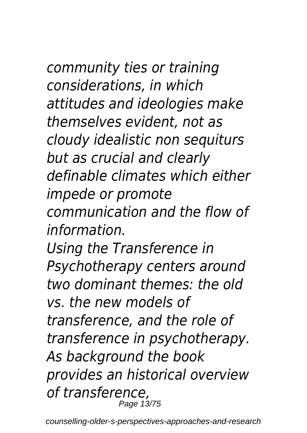*community ties or training considerations, in which attitudes and ideologies make themselves evident, not as cloudy idealistic non sequiturs but as crucial and clearly definable climates which either impede or promote communication and the flow of information.*

*Using the Transference in Psychotherapy centers around two dominant themes: the old vs. the new models of transference, and the role of transference in psychotherapy. As background the book provides an historical overview of transference,* Page 13/75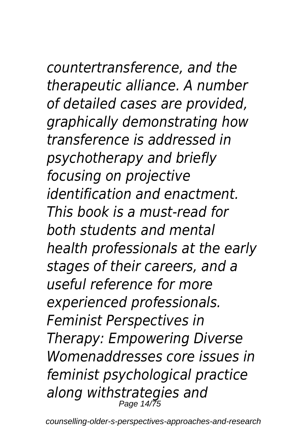*countertransference, and the therapeutic alliance. A number of detailed cases are provided, graphically demonstrating how transference is addressed in psychotherapy and briefly focusing on projective identification and enactment. This book is a must-read for both students and mental health professionals at the early stages of their careers, and a useful reference for more experienced professionals. Feminist Perspectives in Therapy: Empowering Diverse Womenaddresses core issues in feminist psychological practice along withstrategies and* Page 14/75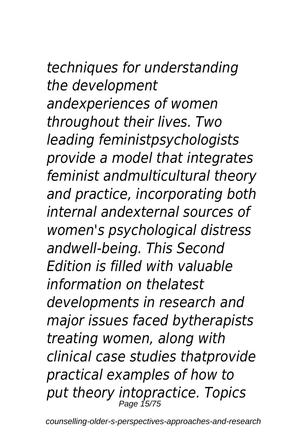### *techniques for understanding the development andexperiences of women throughout their lives. Two leading feministpsychologists provide a model that integrates feminist andmulticultural theory and practice, incorporating both internal andexternal sources of women's psychological distress andwell-being. This Second Edition is filled with valuable information on thelatest developments in research and major issues faced bytherapists treating women, along with clinical case studies thatprovide practical examples of how to*

*put theory intopractice. Topics* Page 15/75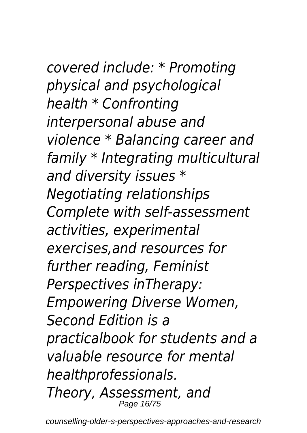*covered include: \* Promoting physical and psychological health \* Confronting interpersonal abuse and violence \* Balancing career and family \* Integrating multicultural and diversity issues \* Negotiating relationships Complete with self-assessment activities, experimental exercises,and resources for further reading, Feminist Perspectives inTherapy: Empowering Diverse Women, Second Edition is a practicalbook for students and a valuable resource for mental healthprofessionals. Theory, Assessment, and* Page 16/75

counselling-older-s-perspectives-approaches-and-research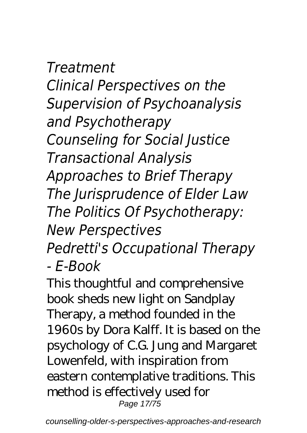*Treatment Clinical Perspectives on the Supervision of Psychoanalysis and Psychotherapy Counseling for Social Justice Transactional Analysis Approaches to Brief Therapy The Jurisprudence of Elder Law The Politics Of Psychotherapy: New Perspectives Pedretti's Occupational Therapy*

*- E-Book*

This thoughtful and comprehensive book sheds new light on Sandplay Therapy, a method founded in the 1960s by Dora Kalff. It is based on the psychology of C.G. Jung and Margaret Lowenfeld, with inspiration from eastern contemplative traditions. This method is effectively used for Page 17/75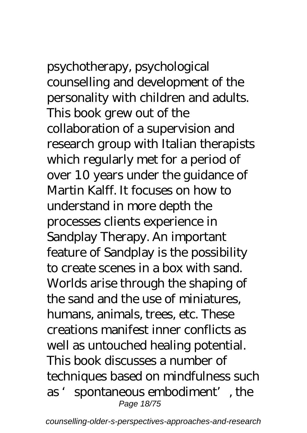psychotherapy, psychological counselling and development of the personality with children and adults. This book grew out of the collaboration of a supervision and research group with Italian therapists which regularly met for a period of over 10 years under the guidance of Martin Kalff. It focuses on how to understand in more depth the processes clients experience in Sandplay Therapy. An important feature of Sandplay is the possibility to create scenes in a box with sand. Worlds arise through the shaping of the sand and the use of miniatures, humans, animals, trees, etc. These creations manifest inner conflicts as well as untouched healing potential. This book discusses a number of techniques based on mindfulness such as 'spontaneous embodiment', the Page 18/75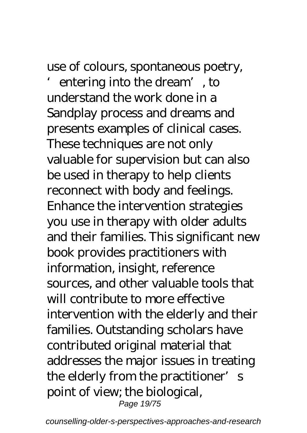use of colours, spontaneous poetry,

entering into the dream', to understand the work done in a Sandplay process and dreams and presents examples of clinical cases. These techniques are not only valuable for supervision but can also be used in therapy to help clients reconnect with body and feelings. Enhance the intervention strategies you use in therapy with older adults and their families. This significant new book provides practitioners with information, insight, reference sources, and other valuable tools that will contribute to more effective intervention with the elderly and their families. Outstanding scholars have contributed original material that addresses the major issues in treating the elderly from the practitioner's point of view; the biological, Page 19/75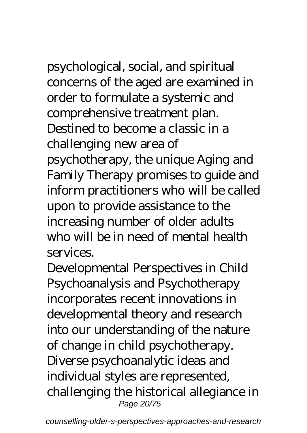psychological, social, and spiritual concerns of the aged are examined in order to formulate a systemic and comprehensive treatment plan. Destined to become a classic in a challenging new area of psychotherapy, the unique Aging and Family Therapy promises to guide and inform practitioners who will be called upon to provide assistance to the increasing number of older adults who will be in need of mental health services.

Developmental Perspectives in Child Psychoanalysis and Psychotherapy incorporates recent innovations in developmental theory and research into our understanding of the nature of change in child psychotherapy. Diverse psychoanalytic ideas and individual styles are represented, challenging the historical allegiance in Page 20/75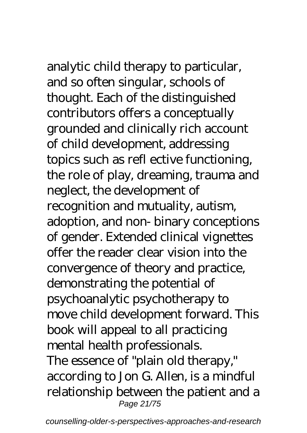analytic child therapy to particular, and so often singular, schools of thought. Each of the distinguished contributors offers a conceptually grounded and clinically rich account of child development, addressing

topics such as refl ective functioning, the role of play, dreaming, trauma and neglect, the development of recognition and mutuality, autism, adoption, and non- binary conceptions of gender. Extended clinical vignettes offer the reader clear vision into the convergence of theory and practice, demonstrating the potential of psychoanalytic psychotherapy to move child development forward. This book will appeal to all practicing mental health professionals. The essence of "plain old therapy," according to Jon G. Allen, is a mindful relationship between the patient and a Page 21/75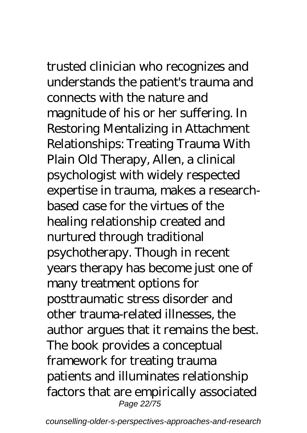trusted clinician who recognizes and understands the patient's trauma and connects with the nature and magnitude of his or her suffering. In Restoring Mentalizing in Attachment Relationships: Treating Trauma With Plain Old Therapy, Allen, a clinical psychologist with widely respected expertise in trauma, makes a researchbased case for the virtues of the healing relationship created and nurtured through traditional psychotherapy. Though in recent years therapy has become just one of many treatment options for posttraumatic stress disorder and other trauma-related illnesses, the author argues that it remains the best. The book provides a conceptual framework for treating trauma patients and illuminates relationship factors that are empirically associated Page 22/75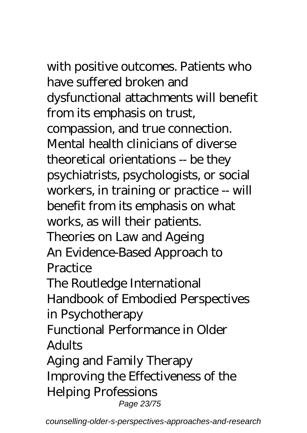with positive outcomes. Patients who have suffered broken and

dysfunctional attachments will benefit from its emphasis on trust, compassion, and true connection. Mental health clinicians of diverse theoretical orientations -- be they psychiatrists, psychologists, or social workers, in training or practice -- will benefit from its emphasis on what works, as will their patients. Theories on Law and Ageing An Evidence-Based Approach to **Practice** 

The Routledge International Handbook of Embodied Perspectives in Psychotherapy

Functional Performance in Older **Adults** 

Aging and Family Therapy Improving the Effectiveness of the Helping Professions Page 23/75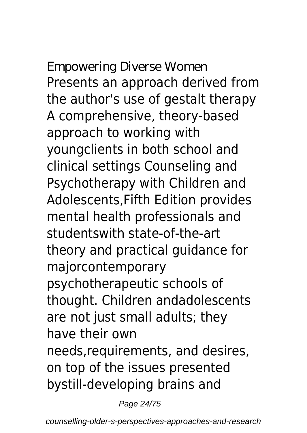Empowering Diverse Women Presents an approach derived from the author's use of gestalt therapy A comprehensive, theory-based approach to working with youngclients in both school and clinical settings Counseling and Psychotherapy with Children and Adolescents,Fifth Edition provides mental health professionals and studentswith state-of-the-art theory and practical guidance for majorcontemporary psychotherapeutic schools of thought. Children andadolescents are not just small adults; they have their own needs,requirements, and desires, on top of the issues presented bystill-developing brains and

Page 24/75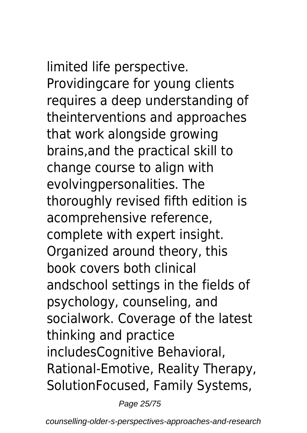limited life perspective. Providingcare for young clients requires a deep understanding of theinterventions and approaches that work alongside growing brains,and the practical skill to change course to align with evolvingpersonalities. The thoroughly revised fifth edition is acomprehensive reference, complete with expert insight. Organized around theory, this book covers both clinical andschool settings in the fields of psychology, counseling, and socialwork. Coverage of the latest thinking and practice includesCognitive Behavioral, Rational-Emotive, Reality Therapy, SolutionFocused, Family Systems,

Page 25/75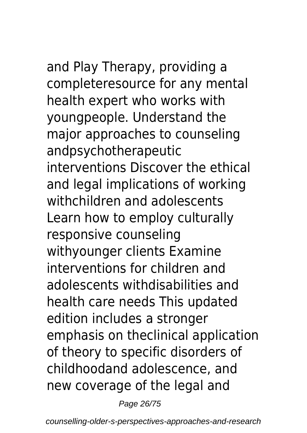and Play Therapy, providing a completeresource for any mental health expert who works with youngpeople. Understand the major approaches to counseling andpsychotherapeutic interventions Discover the ethical and legal implications of working withchildren and adolescents Learn how to employ culturally responsive counseling withyounger clients Examine interventions for children and adolescents withdisabilities and health care needs This updated edition includes a stronger emphasis on theclinical application of theory to specific disorders of childhoodand adolescence, and new coverage of the legal and

Page 26/75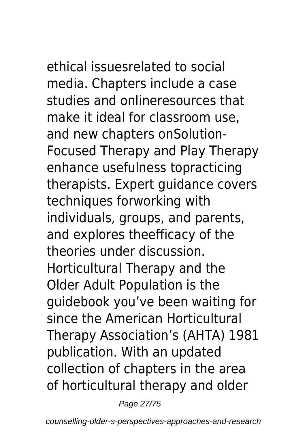ethical issuesrelated to social media. Chapters include a case studies and onlineresources that make it ideal for classroom use, and new chapters onSolution-Focused Therapy and Play Therapy enhance usefulness topracticing therapists. Expert guidance covers techniques forworking with individuals, groups, and parents, and explores theefficacy of the theories under discussion. Horticultural Therapy and the Older Adult Population is the guidebook you've been waiting for since the American Horticultural Therapy Association's (AHTA) 1981 publication. With an updated collection of chapters in the area of horticultural therapy and older

Page 27/75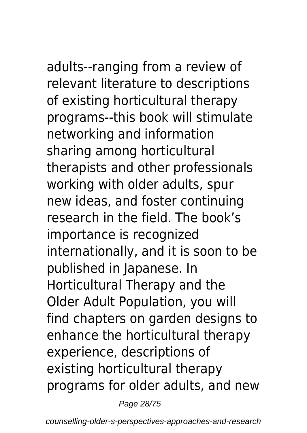adults--ranging from a review of relevant literature to descriptions of existing horticultural therapy programs--this book will stimulate networking and information sharing among horticultural therapists and other professionals working with older adults, spur new ideas, and foster continuing research in the field. The book's importance is recognized internationally, and it is soon to be published in Japanese. In Horticultural Therapy and the Older Adult Population, you will find chapters on garden designs to enhance the horticultural therapy experience, descriptions of existing horticultural therapy programs for older adults, and new

Page 28/75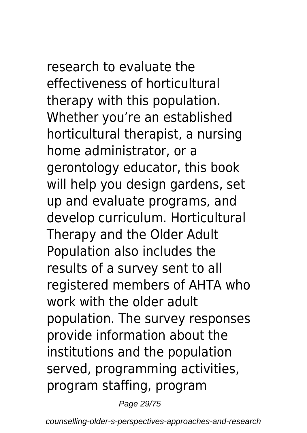research to evaluate the effectiveness of horticultural therapy with this population. Whether you're an established horticultural therapist, a nursing home administrator, or a gerontology educator, this book will help you design gardens, set up and evaluate programs, and develop curriculum. Horticultural Therapy and the Older Adult Population also includes the results of a survey sent to all registered members of AHTA who work with the older adult population. The survey responses provide information about the institutions and the population served, programming activities, program staffing, program

Page 29/75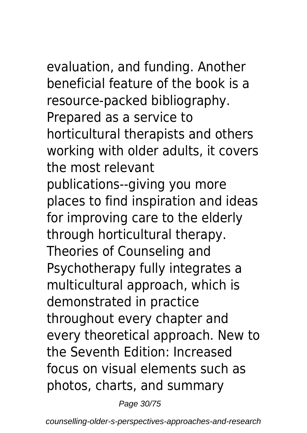evaluation, and funding. Another beneficial feature of the book is a resource-packed bibliography. Prepared as a service to horticultural therapists and others working with older adults, it covers the most relevant publications--giving you more places to find inspiration and ideas for improving care to the elderly through horticultural therapy. Theories of Counseling and Psychotherapy fully integrates a multicultural approach, which is demonstrated in practice throughout every chapter and every theoretical approach. New to the Seventh Edition: Increased focus on visual elements such as photos, charts, and summary

Page 30/75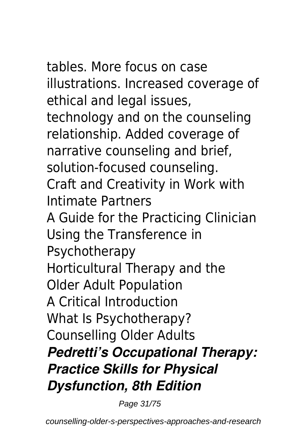tables. More focus on case illustrations. Increased coverage of ethical and legal issues, technology and on the counseling relationship. Added coverage of narrative counseling and brief, solution-focused counseling. Craft and Creativity in Work with Intimate Partners A Guide for the Practicing Clinician Using the Transference in Psychotherapy Horticultural Therapy and the Older Adult Population A Critical Introduction What Is Psychotherapy? Counselling Older Adults *Pedretti's Occupational Therapy: Practice Skills for Physical Dysfunction, 8th Edition*

Page 31/75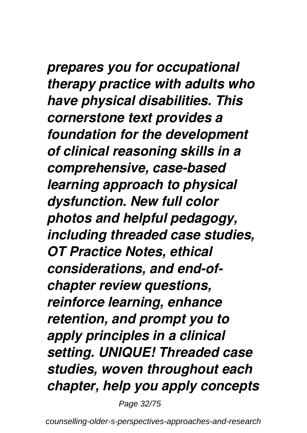*prepares you for occupational therapy practice with adults who have physical disabilities. This cornerstone text provides a foundation for the development of clinical reasoning skills in a comprehensive, case-based learning approach to physical dysfunction. New full color photos and helpful pedagogy, including threaded case studies, OT Practice Notes, ethical considerations, and end-ofchapter review questions, reinforce learning, enhance retention, and prompt you to apply principles in a clinical setting. UNIQUE! Threaded case studies, woven throughout each chapter, help you apply concepts*

Page 32/75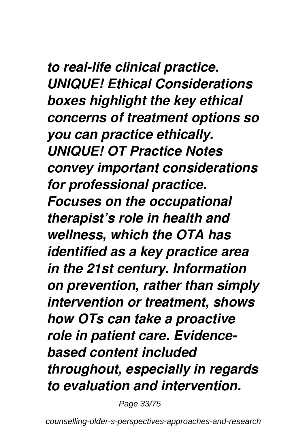*to real-life clinical practice. UNIQUE! Ethical Considerations boxes highlight the key ethical concerns of treatment options so you can practice ethically. UNIQUE! OT Practice Notes convey important considerations for professional practice. Focuses on the occupational therapist's role in health and wellness, which the OTA has identified as a key practice area in the 21st century. Information on prevention, rather than simply intervention or treatment, shows how OTs can take a proactive role in patient care. Evidencebased content included throughout, especially in regards to evaluation and intervention.*

Page 33/75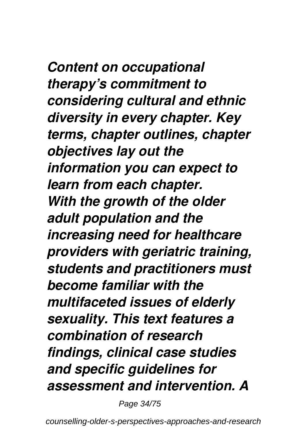*Content on occupational therapy's commitment to considering cultural and ethnic diversity in every chapter. Key terms, chapter outlines, chapter objectives lay out the information you can expect to learn from each chapter. With the growth of the older adult population and the increasing need for healthcare providers with geriatric training, students and practitioners must become familiar with the multifaceted issues of elderly sexuality. This text features a combination of research findings, clinical case studies and specific guidelines for assessment and intervention. A*

Page 34/75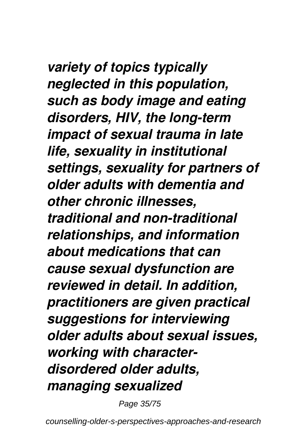### *variety of topics typically neglected in this population, such as body image and eating disorders, HIV, the long-term impact of sexual trauma in late life, sexuality in institutional settings, sexuality for partners of older adults with dementia and other chronic illnesses, traditional and non-traditional relationships, and information about medications that can*

*cause sexual dysfunction are reviewed in detail. In addition, practitioners are given practical suggestions for interviewing older adults about sexual issues, working with characterdisordered older adults, managing sexualized*

Page 35/75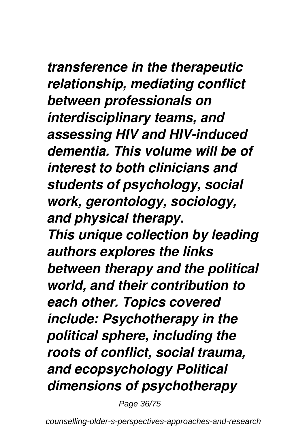### *transference in the therapeutic relationship, mediating conflict between professionals on interdisciplinary teams, and assessing HIV and HIV-induced dementia. This volume will be of interest to both clinicians and students of psychology, social work, gerontology, sociology, and physical therapy. This unique collection by leading authors explores the links between therapy and the political*

*world, and their contribution to each other. Topics covered include: Psychotherapy in the political sphere, including the roots of conflict, social trauma, and ecopsychology Political dimensions of psychotherapy*

Page 36/75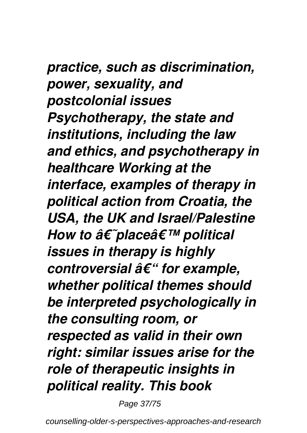### *practice, such as discrimination, power, sexuality, and postcolonial issues Psychotherapy, the state and institutions, including the law and ethics, and psychotherapy in healthcare Working at the interface, examples of therapy in political action from Croatia, the USA, the UK and Israel/Palestine How to â€ placeâ€* <sup>*m*</sup> political *issues in therapy is highly controversial – for example, whether political themes should be interpreted psychologically in the consulting room, or respected as valid in their own right: similar issues arise for the role of therapeutic insights in political reality. This book*

Page 37/75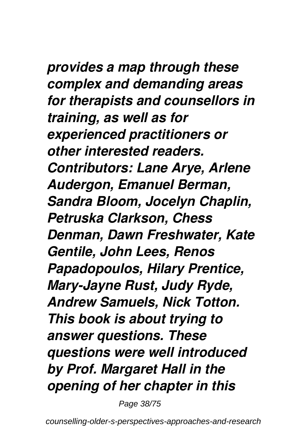# *provides a map through these*

*complex and demanding areas for therapists and counsellors in training, as well as for experienced practitioners or other interested readers. Contributors: Lane Arye, Arlene Audergon, Emanuel Berman, Sandra Bloom, Jocelyn Chaplin, Petruska Clarkson, Chess Denman, Dawn Freshwater, Kate Gentile, John Lees, Renos Papadopoulos, Hilary Prentice, Mary-Jayne Rust, Judy Ryde, Andrew Samuels, Nick Totton. This book is about trying to answer questions. These questions were well introduced by Prof. Margaret Hall in the opening of her chapter in this*

Page 38/75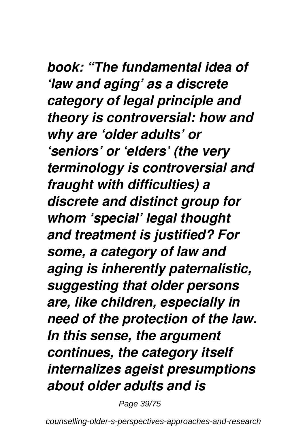# *book: "The fundamental idea of*

*'law and aging' as a discrete category of legal principle and theory is controversial: how and why are 'older adults' or 'seniors' or 'elders' (the very terminology is controversial and fraught with difficulties) a discrete and distinct group for whom 'special' legal thought and treatment is justified? For some, a category of law and aging is inherently paternalistic, suggesting that older persons are, like children, especially in need of the protection of the law. In this sense, the argument continues, the category itself internalizes ageist presumptions about older adults and is*

Page 39/75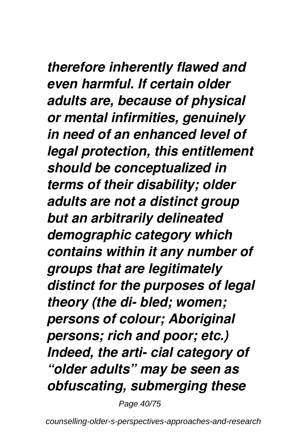# *therefore inherently flawed and*

*even harmful. If certain older adults are, because of physical or mental infirmities, genuinely in need of an enhanced level of legal protection, this entitlement should be conceptualized in terms of their disability; older adults are not a distinct group but an arbitrarily delineated demographic category which contains within it any number of groups that are legitimately distinct for the purposes of legal theory (the di- bled; women; persons of colour; Aboriginal persons; rich and poor; etc.) Indeed, the arti- cial category of "older adults" may be seen as obfuscating, submerging these*

Page 40/75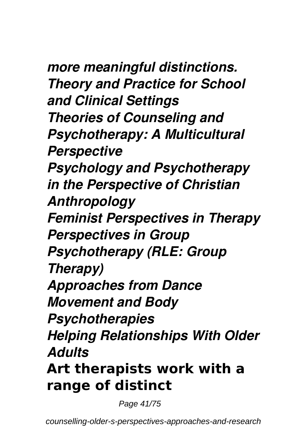## *more meaningful distinctions.*

*Theory and Practice for School and Clinical Settings Theories of Counseling and Psychotherapy: A Multicultural Perspective Psychology and Psychotherapy in the Perspective of Christian Anthropology Feminist Perspectives in Therapy Perspectives in Group Psychotherapy (RLE: Group Therapy) Approaches from Dance Movement and Body Psychotherapies Helping Relationships With Older Adults* **Art therapists work with a range of distinct**

Page 41/75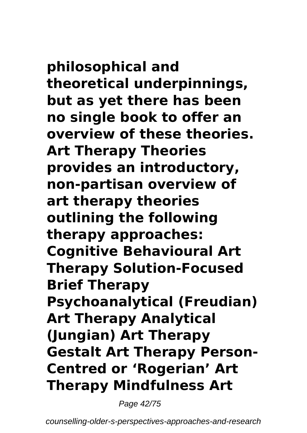**philosophical and theoretical underpinnings, but as yet there has been no single book to offer an overview of these theories. Art Therapy Theories provides an introductory, non-partisan overview of art therapy theories outlining the following therapy approaches: Cognitive Behavioural Art Therapy Solution-Focused Brief Therapy Psychoanalytical (Freudian) Art Therapy Analytical (Jungian) Art Therapy Gestalt Art Therapy Person-Centred or 'Rogerian' Art Therapy Mindfulness Art**

Page 42/75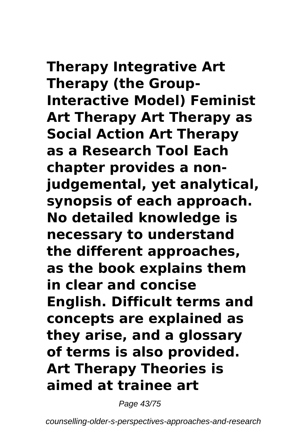**Therapy Integrative Art Therapy (the Group-Interactive Model) Feminist Art Therapy Art Therapy as Social Action Art Therapy as a Research Tool Each chapter provides a nonjudgemental, yet analytical, synopsis of each approach. No detailed knowledge is necessary to understand the different approaches, as the book explains them in clear and concise English. Difficult terms and concepts are explained as they arise, and a glossary of terms is also provided. Art Therapy Theories is aimed at trainee art**

Page 43/75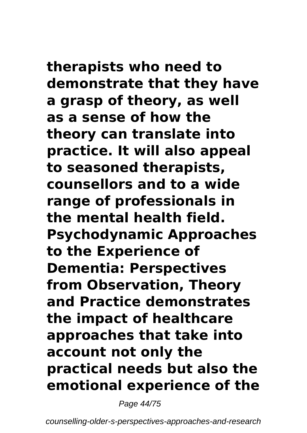**therapists who need to demonstrate that they have a grasp of theory, as well as a sense of how the theory can translate into practice. It will also appeal to seasoned therapists, counsellors and to a wide range of professionals in the mental health field. Psychodynamic Approaches to the Experience of Dementia: Perspectives from Observation, Theory and Practice demonstrates the impact of healthcare approaches that take into account not only the practical needs but also the emotional experience of the**

Page 44/75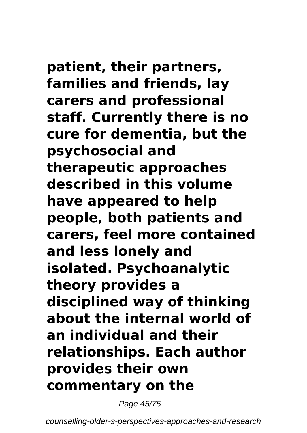# **patient, their partners,**

**families and friends, lay carers and professional staff. Currently there is no cure for dementia, but the psychosocial and therapeutic approaches described in this volume have appeared to help people, both patients and carers, feel more contained and less lonely and isolated. Psychoanalytic theory provides a disciplined way of thinking about the internal world of an individual and their relationships. Each author provides their own commentary on the**

Page 45/75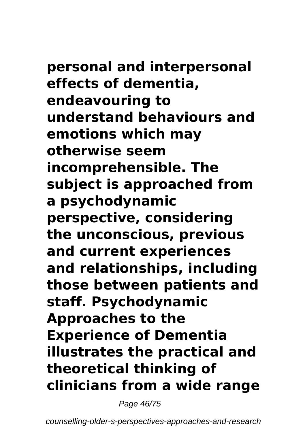**personal and interpersonal effects of dementia, endeavouring to understand behaviours and emotions which may otherwise seem incomprehensible. The subject is approached from a psychodynamic perspective, considering the unconscious, previous and current experiences and relationships, including those between patients and staff. Psychodynamic Approaches to the Experience of Dementia illustrates the practical and theoretical thinking of clinicians from a wide range**

Page 46/75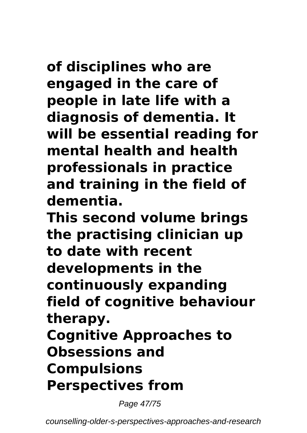**of disciplines who are engaged in the care of people in late life with a diagnosis of dementia. It will be essential reading for mental health and health professionals in practice**

**and training in the field of dementia.**

**This second volume brings the practising clinician up to date with recent developments in the continuously expanding field of cognitive behaviour therapy. Cognitive Approaches to Obsessions and Compulsions Perspectives from**

Page 47/75

counselling-older-s-perspectives-approaches-and-research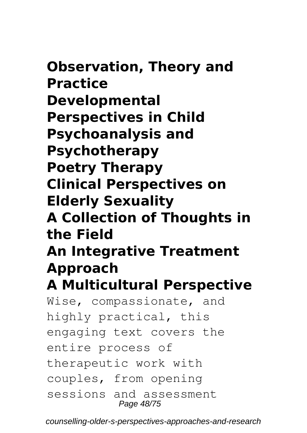**Observation, Theory and Practice Developmental Perspectives in Child Psychoanalysis and Psychotherapy Poetry Therapy Clinical Perspectives on Elderly Sexuality A Collection of Thoughts in the Field An Integrative Treatment Approach A Multicultural Perspective** Wise, compassionate, and highly practical, this engaging text covers the entire process of therapeutic work with couples, from opening

sessions and assessment Page 48/75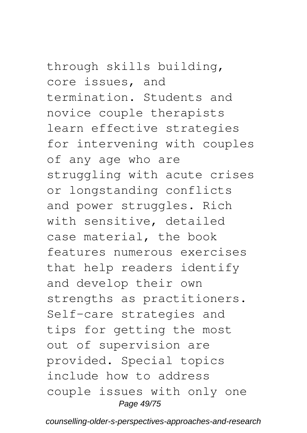through skills building, core issues, and termination. Students and novice couple therapists learn effective strategies for intervening with couples of any age who are struggling with acute crises or longstanding conflicts and power struggles. Rich with sensitive, detailed case material, the book features numerous exercises that help readers identify and develop their own strengths as practitioners. Self-care strategies and tips for getting the most out of supervision are provided. Special topics

include how to address couple issues with only one Page 49/75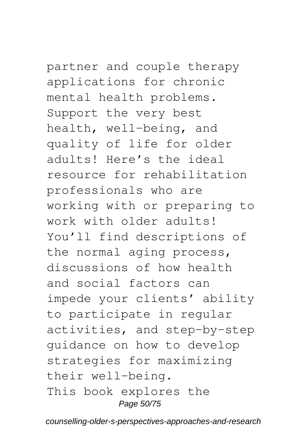## partner and couple therapy

applications for chronic mental health problems. Support the very best health, well-being, and quality of life for older adults! Here's the ideal resource for rehabilitation professionals who are working with or preparing to work with older adults! You'll find descriptions of the normal aging process, discussions of how health and social factors can impede your clients' ability to participate in regular activities, and step-by-step guidance on how to develop strategies for maximizing their well-being. This book explores the Page 50/75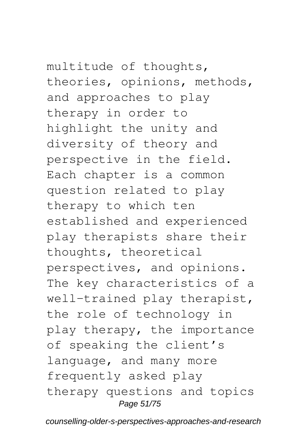## multitude of thoughts,

theories, opinions, methods, and approaches to play therapy in order to highlight the unity and diversity of theory and perspective in the field. Each chapter is a common question related to play therapy to which ten established and experienced play therapists share their thoughts, theoretical perspectives, and opinions. The key characteristics of a well-trained play therapist, the role of technology in play therapy, the importance of speaking the client's language, and many more frequently asked play therapy questions and topics Page 51/75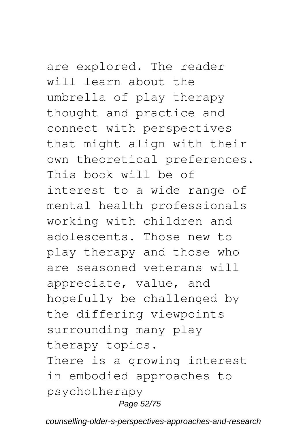are explored. The reader will learn about the umbrella of play therapy thought and practice and connect with perspectives that might align with their own theoretical preferences. This book will be of interest to a wide range of mental health professionals working with children and adolescents. Those new to play therapy and those who are seasoned veterans will appreciate, value, and hopefully be challenged by the differing viewpoints surrounding many play therapy topics. There is a growing interest in embodied approaches to psychotherapy

### Page 52/75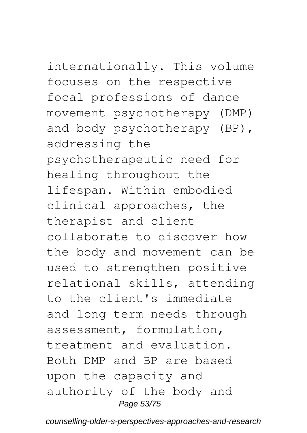# internationally. This volume

focuses on the respective focal professions of dance movement psychotherapy (DMP) and body psychotherapy (BP), addressing the psychotherapeutic need for healing throughout the lifespan. Within embodied clinical approaches, the therapist and client collaborate to discover how the body and movement can be used to strengthen positive relational skills, attending to the client's immediate and long-term needs through assessment, formulation, treatment and evaluation. Both DMP and BP are based upon the capacity and authority of the body and Page 53/75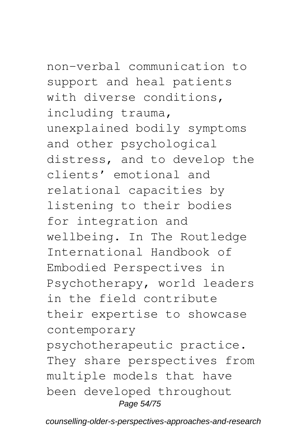non-verbal communication to support and heal patients with diverse conditions, including trauma, unexplained bodily symptoms and other psychological distress, and to develop the clients' emotional and relational capacities by listening to their bodies for integration and wellbeing. In The Routledge International Handbook of Embodied Perspectives in Psychotherapy, world leaders in the field contribute their expertise to showcase contemporary psychotherapeutic practice. They share perspectives from multiple models that have been developed throughout Page 54/75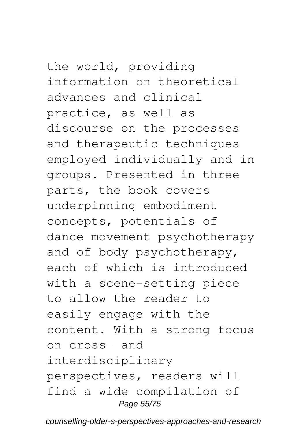the world, providing information on theoretical advances and clinical practice, as well as discourse on the processes and therapeutic techniques employed individually and in groups. Presented in three parts, the book covers underpinning embodiment concepts, potentials of dance movement psychotherapy and of body psychotherapy, each of which is introduced with a scene-setting piece to allow the reader to easily engage with the content. With a strong focus on cross- and interdisciplinary perspectives, readers will find a wide compilation of Page 55/75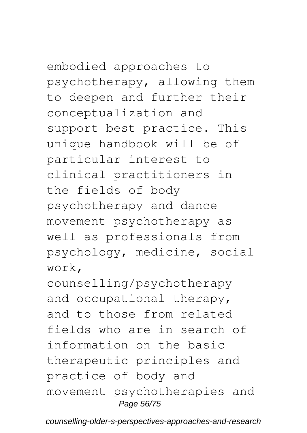embodied approaches to psychotherapy, allowing them to deepen and further their conceptualization and support best practice. This unique handbook will be of particular interest to clinical practitioners in the fields of body psychotherapy and dance movement psychotherapy as well as professionals from psychology, medicine, social work,

counselling/psychotherapy and occupational therapy, and to those from related fields who are in search of information on the basic therapeutic principles and practice of body and movement psychotherapies and Page 56/75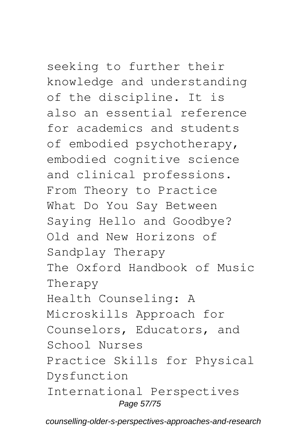## seeking to further their

knowledge and understanding of the discipline. It is also an essential reference for academics and students of embodied psychotherapy, embodied cognitive science and clinical professions. From Theory to Practice What Do You Say Between Saying Hello and Goodbye? Old and New Horizons of Sandplay Therapy The Oxford Handbook of Music Therapy Health Counseling: A Microskills Approach for Counselors, Educators, and School Nurses Practice Skills for Physical Dysfunction International Perspectives Page 57/75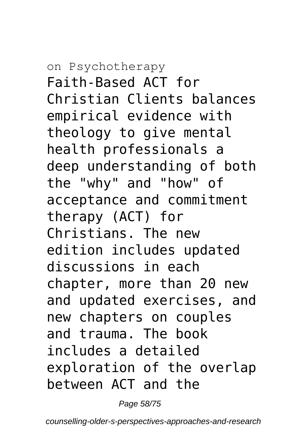# on Psychotherapy

Faith-Based ACT for Christian Clients balances empirical evidence with theology to give mental health professionals a deep understanding of both the "why" and "how" of acceptance and commitment therapy (ACT) for Christians. The new edition includes updated discussions in each chapter, more than 20 new and updated exercises, and new chapters on couples and trauma. The book includes a detailed exploration of the overlap between ACT and the

Page 58/75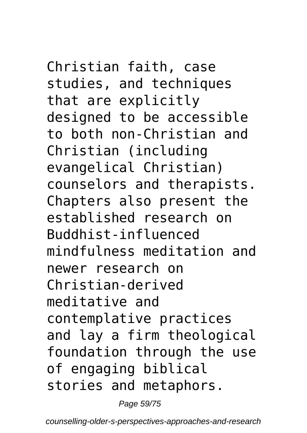## Christian faith, case studies, and techniques that are explicitly designed to be accessible

to both non-Christian and Christian (including evangelical Christian) counselors and therapists. Chapters also present the established research on Buddhist-influenced mindfulness meditation and newer research on Christian-derived meditative and contemplative practices and lay a firm theological foundation through the use of engaging biblical stories and metaphors.

Page 59/75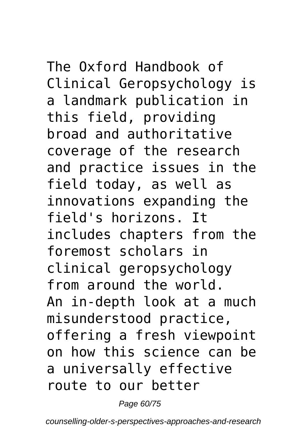The Oxford Handbook of Clinical Geropsychology is a landmark publication in this field, providing broad and authoritative coverage of the research and practice issues in the field today, as well as innovations expanding the field's horizons. It includes chapters from the foremost scholars in clinical geropsychology from around the world. An in-depth look at a much misunderstood practice, offering a fresh viewpoint on how this science can be a universally effective route to our better

Page 60/75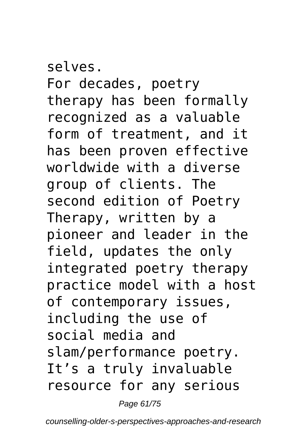selves. For decades, poetry therapy has been formally recognized as a valuable form of treatment, and it has been proven effective worldwide with a diverse group of clients. The second edition of Poetry Therapy, written by a pioneer and leader in the field, updates the only integrated poetry therapy practice model with a host of contemporary issues, including the use of social media and slam/performance poetry. It's a truly invaluable resource for any serious

Page 61/75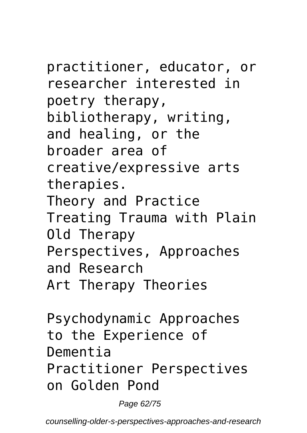practitioner, educator, or researcher interested in poetry therapy,

bibliotherapy, writing, and healing, or the broader area of

creative/expressive arts therapies.

Theory and Practice Treating Trauma with Plain Old Therapy Perspectives, Approaches and Research

Art Therapy Theories

Psychodynamic Approaches to the Experience of Dementia Practitioner Perspectives on Golden Pond

Page 62/75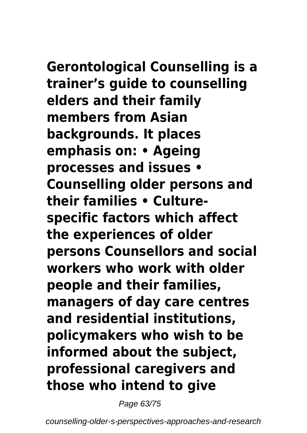**Gerontological Counselling is a trainer's guide to counselling elders and their family members from Asian backgrounds. It places emphasis on: • Ageing processes and issues • Counselling older persons and their families • Culturespecific factors which affect the experiences of older persons Counsellors and social workers who work with older people and their families, managers of day care centres and residential institutions, policymakers who wish to be informed about the subject, professional caregivers and those who intend to give**

Page 63/75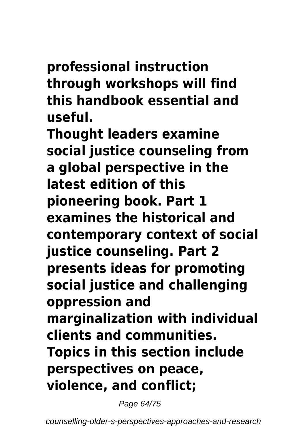### **professional instruction through workshops will find this handbook essential and useful.**

**Thought leaders examine social justice counseling from a global perspective in the latest edition of this pioneering book. Part 1 examines the historical and contemporary context of social justice counseling. Part 2 presents ideas for promoting social justice and challenging oppression and marginalization with individual clients and communities. Topics in this section include perspectives on peace, violence, and conflict;**

Page 64/75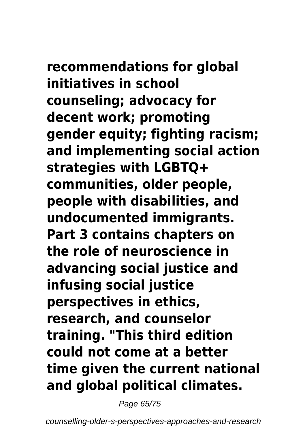**recommendations for global initiatives in school counseling; advocacy for decent work; promoting gender equity; fighting racism; and implementing social action strategies with LGBTQ+ communities, older people, people with disabilities, and undocumented immigrants. Part 3 contains chapters on the role of neuroscience in advancing social justice and infusing social justice perspectives in ethics, research, and counselor training. "This third edition could not come at a better time given the current national and global political climates.**

Page 65/75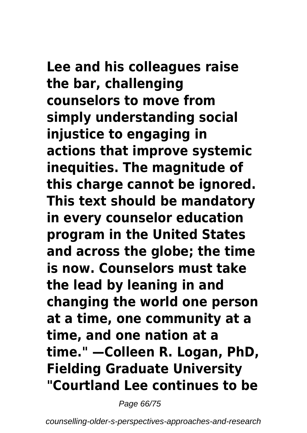**Lee and his colleagues raise the bar, challenging counselors to move from simply understanding social injustice to engaging in actions that improve systemic inequities. The magnitude of this charge cannot be ignored. This text should be mandatory in every counselor education program in the United States and across the globe; the time is now. Counselors must take the lead by leaning in and changing the world one person at a time, one community at a time, and one nation at a time." —Colleen R. Logan, PhD, Fielding Graduate University "Courtland Lee continues to be**

Page 66/75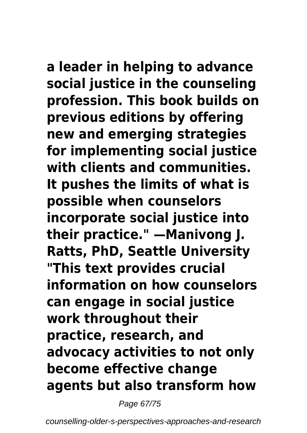# **a leader in helping to advance**

**social justice in the counseling profession. This book builds on previous editions by offering new and emerging strategies for implementing social justice with clients and communities. It pushes the limits of what is possible when counselors incorporate social justice into their practice." —Manivong J. Ratts, PhD, Seattle University "This text provides crucial information on how counselors can engage in social justice work throughout their practice, research, and advocacy activities to not only become effective change agents but also transform how**

Page 67/75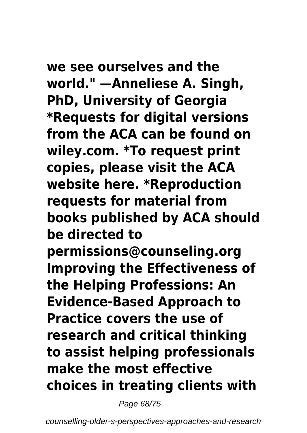**we see ourselves and the world." —Anneliese A. Singh, PhD, University of Georgia \*Requests for digital versions from the ACA can be found on wiley.com. \*To request print copies, please visit the ACA website here. \*Reproduction requests for material from books published by ACA should be directed to permissions@counseling.org Improving the Effectiveness of the Helping Professions: An Evidence-Based Approach to Practice covers the use of research and critical thinking to assist helping professionals make the most effective choices in treating clients with**

Page 68/75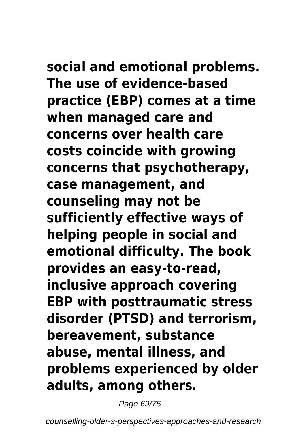**social and emotional problems. The use of evidence-based practice (EBP) comes at a time when managed care and concerns over health care costs coincide with growing concerns that psychotherapy, case management, and counseling may not be sufficiently effective ways of helping people in social and emotional difficulty. The book provides an easy-to-read, inclusive approach covering EBP with posttraumatic stress disorder (PTSD) and terrorism, bereavement, substance abuse, mental illness, and problems experienced by older adults, among others.**

Page 69/75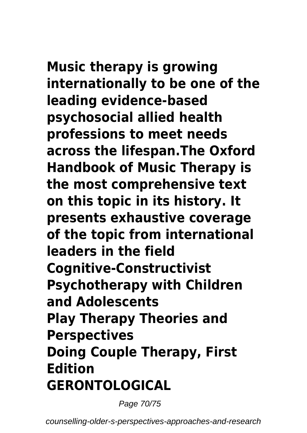**Music therapy is growing internationally to be one of the leading evidence-based psychosocial allied health professions to meet needs across the lifespan.The Oxford Handbook of Music Therapy is the most comprehensive text on this topic in its history. It presents exhaustive coverage of the topic from international leaders in the field Cognitive-Constructivist Psychotherapy with Children and Adolescents Play Therapy Theories and Perspectives Doing Couple Therapy, First Edition GERONTOLOGICAL**

Page 70/75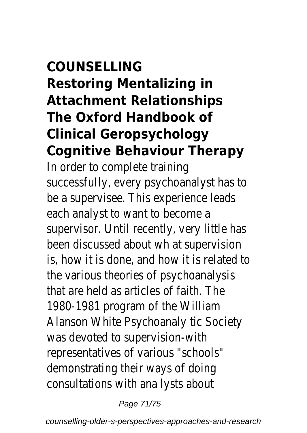### **COUNSELLING Restoring Mentalizing in Attachment Relationships The Oxford Handbook of Clinical Geropsychology Cognitive Behaviour Therapy**

In order to complete trainin successfully, every psychoanalyst has to be a supervisee. This experience lead each analyst to want to become supervisor. Until recently, very little ha been discussed about wh at supervision is, how it is done, and how it is related to the various theories of psychoanalys that are held as articles of faith. The 1980-1981 program of the Williar Alanson White Psychoanaly tic Societ was devoted to supervision-wit representatives of various "schools demonstrating their ways of doin consultations with ana lysts about

Page 71/75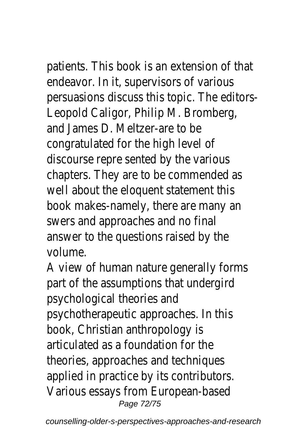patients. This book is an extension of that endeavor. In it, supervisors of various persuasions discuss this topic. The editor Leopold Caligor, Philip M. Bromberg, and James D. Meltzer-are to b congratulated for the high level of discourse repre sented by the variou chapters. They are to be commended a well about the eloquent statement th book makes-namely, there are many and swers and approaches and no final answer to the questions raised by the volume.

A view of human nature generally form part of the assumptions that undergir psychological theories and psychotherapeutic approaches. In th book, Christian anthropology is articulated as a foundation for the theories, approaches and technique applied in practice by its contributor. Various essays from European-base Page 72/75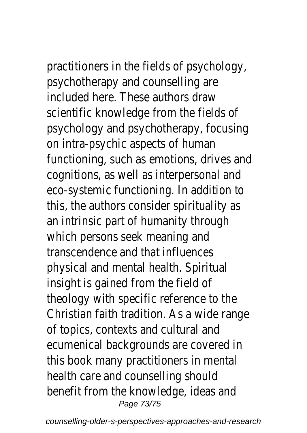practitioners in the fields of psychold psychotherapy and counselling are included here. These authors draw scientific knowledge from the fields of psychology and psychotherapy, focus on intra-psychic aspects of human functioning, such as emotions, drives cognitions, as well as interpersonal a eco-systemic functioning. In addition this, the authors consider spirituality an intrinsic part of humanity through which persons seek meaning and transcendence and that influences physical and mental health. Spiritual insight is gained from the field of theology with specific reference to the Christian faith tradition. As a wide range of topics, contexts and cultural and ecumenical backgrounds are covered this book many practitioners in ment health care and counselling should benefit from the knowledge, ideas an Page 73/75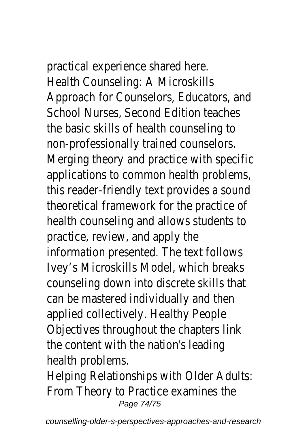practical experience shared here. Health Counseling: A Microskills Approach for Counselors, Educators, School Nurses, Second Edition teache the basic skills of health counseling t non-professionally trained counselors. Merging theory and practice with specific applications to common health proble this reader-friendly text provides a so theoretical framework for the practic health counseling and allows student practice, review, and apply the information presented. The text follow Ivey's Microskills Model, which breaks counseling down into discrete skills t can be mastered individually and then applied collectively. Healthy People Objectives throughout the chapters I the content with the nation's leading health problems.

Helping Relationships with Older Adul From Theory to Practice examines th Page 74/75